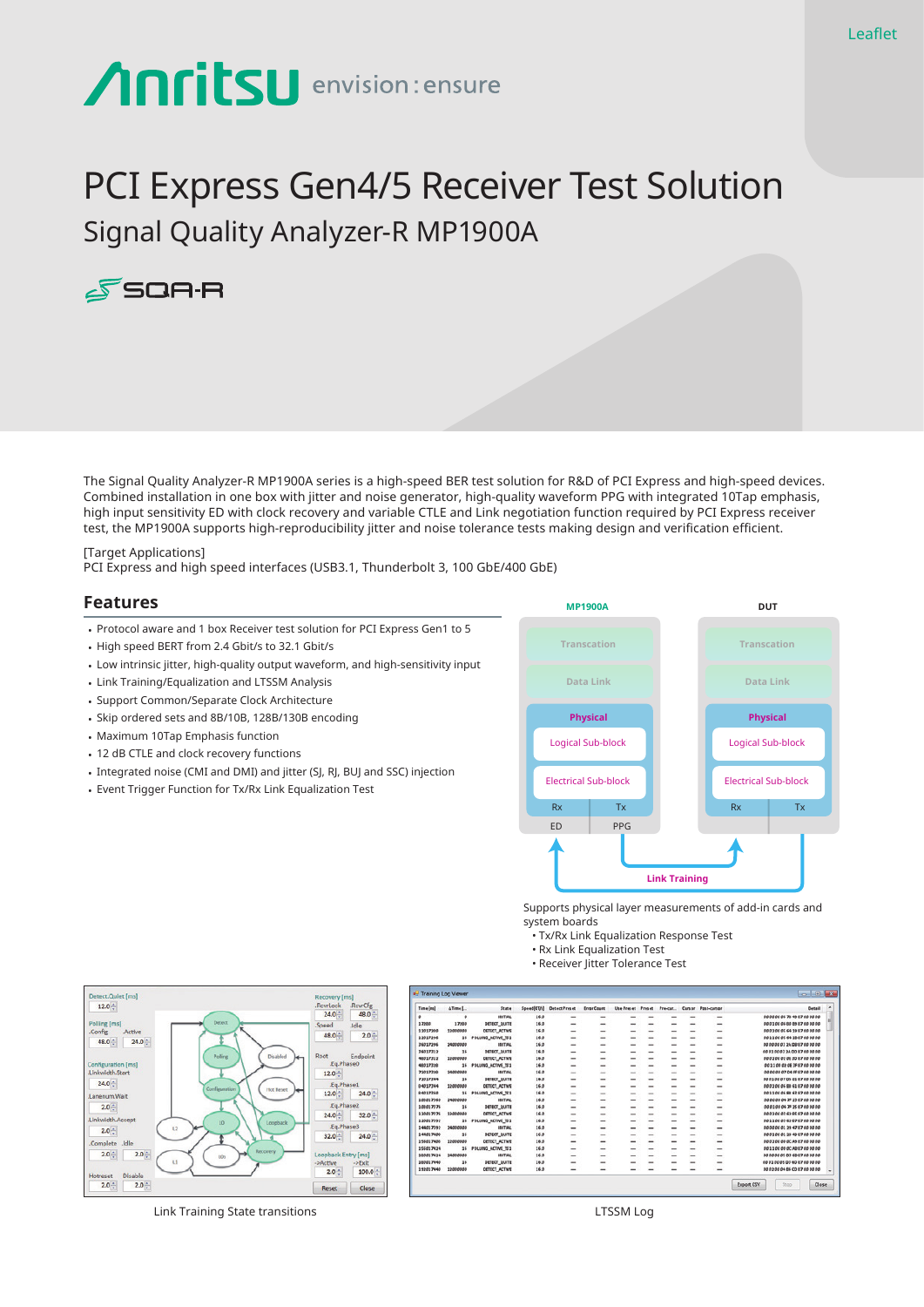# **Anritsu** envision: ensure

# PCI Express Gen4/5 Receiver Test Solution Signal Quality Analyzer-R MP1900A



The Signal Quality Analyzer-R MP1900A series is a high-speed BER test solution for R&D of PCI Express and high-speed devices. Combined installation in one box with jitter and noise generator, high-quality waveform PPG with integrated 10Tap emphasis, high input sensitivity ED with clock recovery and variable CTLE and Link negotiation function required by PCI Express receiver test, the MP1900A supports high-reproducibility jitter and noise tolerance tests making design and verification efficient.

[Target Applications] PCI Express and high speed interfaces (USB3.1, Thunderbolt 3, 100 GbE/400 GbE)

#### **Features**

- Protocol aware and 1 box Receiver test solution for PCI Express Gen1 to 5
- High speed BERT from 2.4 Gbit/s to 32.1 Gbit/s
- Low intrinsic jitter, high-quality output waveform, and high-sensitivity input
- Link Training/Equalization and LTSSM Analysis
- Support Common/Separate Clock Architecture
- Skip ordered sets and 8B/10B, 128B/130B encoding
- Maximum 10Tap Emphasis function
- 12 dB CTLE and clock recovery functions
- Integrated noise (CMI and DMI) and jitter (SJ, RJ, BUJ and SSC) injection
- Event Trigger Function for Tx/Rx Link Equalization Test



Supports physical layer measurements of add-in cards and system boards

Export CSV

 $\Box$ 

- Tx/Rx Link Equalization Response Test
- Rx Link Equalization Test
- Receiver Jitter Tolerance Test



Link Training State transitions LTSSM Log